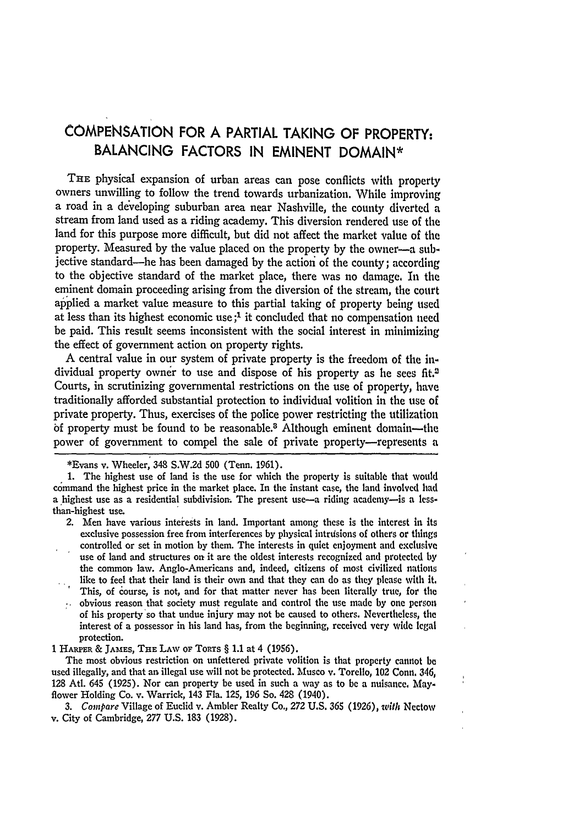## **COMPENSATION** FOR **A** PARTIAL **TAKING** OF PROPERTY: **BALANCING** FACTORS **IN EMINENT DOMAIN\***

THE physical expansion of urban areas can pose conflicts with property owners unwilling to follow the trend towards urbanization. While improving a road in a developing suburban area near Nashville, the county diverted a stream from land used as a riding academy. This diversion rendered use of the land for this purpose more difficult, but did not affect the market value of the property. Measured by the value placed on the property by the owner-a subjective standard—he has been damaged by the action of the county; according to the objective standard of the market place, there was no damage. In the eminent domain proceeding arising from the diversion of the stream, the court applied a market value measure to this partial taking of property being used at less than its highest economic use **;'** it concluded that no compensation need be paid. This result seems inconsistent with the social interest in minimizing the effect of government action on property rights.

**A** central value in our system of private property is the freedom of the individual property owner to use and dispose of his property as he sees fit.<sup>2</sup> Courts, in scrutinizing governmental restrictions on the use of property, have traditionally afforded substantial protection to individual volition in the use of private property. Thus, exercises of the police power restricting the utilization **bf** property must be found to be reasonable.8 Although eminent domain-the power of government to compel the sale of private property-represents a

- 2. Men have various interests in land. Important among these is the interest in its exclusive possession free from interferences by physical intrusions of others or things controlled or set in motion by them. The interests in quiet enjoyment and exclusive use of land and structures on it are the oldest interests recognized and protected by the common law. Anglo-Americans and, indeed, citizens of most civilized nations like to feel that their land is their own and that they can do as they please with It.
- This, of course, is not, and for that matter never has been literally true, for the
- $\sim$  obvious reason that society must regulate and control the use made by one person of his property'so that undue injury may not be caused to others. Nevertlhlecss, the interest of a possessor in his land has, from the beginning, received very wide legal protection.

1 HARPER & **JAMES, THE** LAW **OF** ToRTs § **1.1** at 4 (1956).

The most obvious restriction on unfettered private volition is that property cannot be used illegally, and that an illegal use will not be protected. Musco v. Torello, 102 Conn. 346, 128 AtI. 645 (1925). Nor can property be used in such a way as to be a nuisance. May' flower Holding Co. v. Warrick, 143 Fla. 125, 196 So. 428 (1940).

*3. Compare* Village of Euclid v. Ambler Realty Co., 272 U.S. **365** (1926), ivith Nectow v. City of Cambridge, 277 U.S. 183 (1928).

<sup>\*</sup>Evans v. Wheeler, 348 S.W.2d **500** (Tenn. 1961).

<sup>1.</sup> The highest use of land is the use for which the property is suitable that would command the highest price in the market place. In the instant case, the land involved had a highest use as a residential subdivision. The present use-a riding academy-is a lessthan-highest use.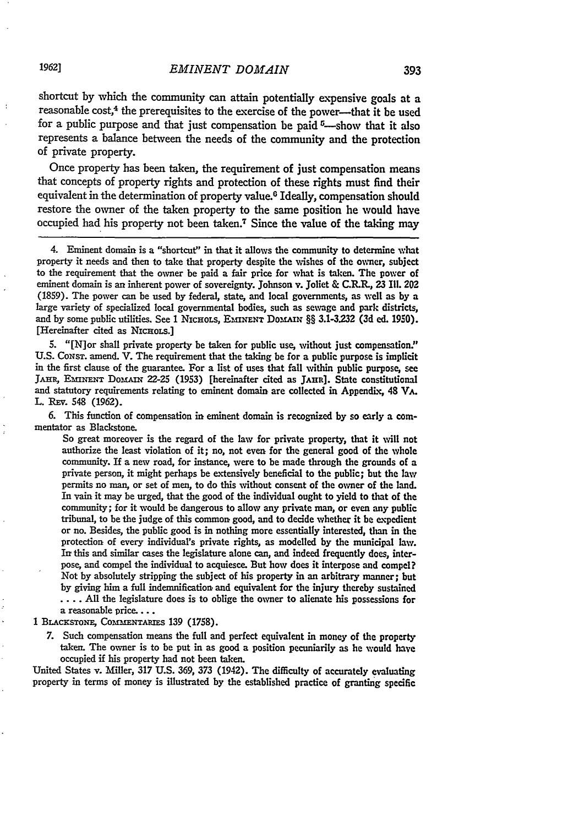shortcut **by** which the community can attain potentially expensive goals at a reasonable cost,<sup>4</sup> the prerequisites to the exercise of the power-that it be used for a public purpose and that just compensation be paid  $\frac{5}{2}$ -show that it also represents a balance between the needs of the community and the protection of private property.

Once property has been taken, the requirement **of** just compensation means that concepts of property rights and protection of these rights must find their equivalent in the determination of property value.<sup>6</sup> Ideally, compensation should restore the owner of the taken property to the same position he would have occupied had his property not been taken.7 Since the value of the taking may

4. Eminent domain is a "shortcut" in that it allows the community to determine what property it needs and then to take that property despite the wishes of the owner, subject to the requirement that the owner be paid a fair price for what is taken. The power of eminent domain is an inherent power of sovereignty. Johnson v. Joliet & C.R.R., **23** Ill. 202 **(1859).** The power can be used **by** federal, state, and local governments, as well as **by** a large variety of specialized local governmental bodies, such as sewage and park districts, and by some public utilities. See 1 NICHOLS, EMINENT DOMAIN §§ 3.1-3.232 (3d ed. 1950). [Hereinafter cited as NICHOLS.]

**5.** "[N]or shall private property be taken for public use, without just compensation." **U.S.** CoNsT. amend. V. The requirement that the taking be for a public purpose is implicit in the first clause of the guarantee. For a list of uses that fall within public purpose, see JAHR, EMINENT DOMAIN 22-25 (1953) [hereinafter cited as JAHR]. State constitutional and statutory requirements relating to eminent domain are collected in Appendix, 48 VA. L. REv. 548 (1962).

**6.** This function of compensation in eminent domain is recognized **by** so early a commentator as Blackstone.

So great moreover is the regard of the law for private property, that it will not authorize the least violation of it; no, not even for the general good of the whole community. If a new road, for instance, were to be made through the grounds of a private person, it might perhaps be extensively beneficial to the public; but the law permits no man, or set of men, to do this without consent of the owner of the land. In vain it may be urged, that the good of the individual ought to yield to that of the community; for it would be dangerous to allow any private man, or even any public tribunal, to be the judge of this common, good, and to decide whether it be epedient or no. Besides, the public good is in nothing more essentially interested, than in the protection of every individual's private rights, as modelled **by** the municipal law. In this and similar cases the legislature alone can, and indeed frequently does, interpose, and compel the individual to acquiesce. But how does it interpose and compel? Not **by** absolutely stripping the subject of his property in an arbitrary manner; but **by** giving him a full indemnification- and equivalent for the injury thereby sustained .... All the legislature does is to oblige the owner to alienate his possessions for a reasonable price....

1 BLACKSTONE, COMMENTARIES 139 (1758).

*7.* Such compensation means the full and perfect equivalent in money of the property taken. The owner is to be put in as good a position pecuniarily as he would have occupied if his property had not been taken.

United States v. Miller, **317** U.S. **369, 373** (1942). The difficulty of accurately evaluating property in terms of money is illustrated **by** the established practice of granting specific

**19621**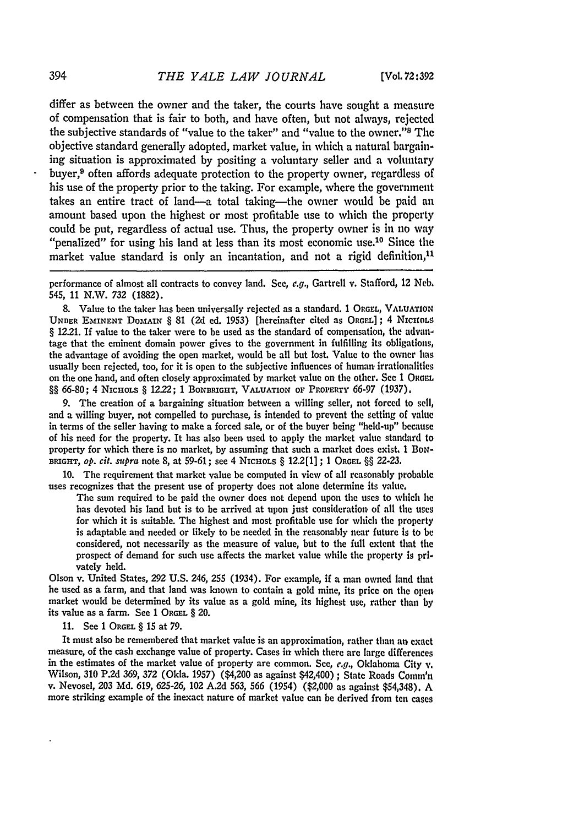differ as between the owner and the taker, the courts have sought a measure of compensation that is fair to both, and have often, but not always, rejected the subjective standards of "value to the taker" and "value to the owner."<sup>8</sup> The objective standard generally adopted, market value, in which a natural bargaining situation is approximated by positing a voluntary seller and **a** voluntary buyer,<sup>9</sup> often affords adequate protection to the property owner, regardless of his use of the property prior to the taking. For example, where the government takes an entire tract of land-a total taking-the owner would be paid an amount based upon the highest or most profitable use to which the property could be put, regardless of actual use. Thus, the property owner is in no way "penalized" for using his land at less than its most economic use.<sup>10</sup> Since the market value standard is only an incantation, and not a rigid definition, $^{11}$ 

performance of almost all contracts to convey land. See, e.g., Gartrell v. Stafford, 12 Neb. 545, **11** N.W. **732** (1882).

8. Value to the taker has been universally rejected as a standard. 1 **ORGEL, VALUATION UNDER EMINENT** DOMAIN § **81** (2d ed. 1953) [hereinafter cited as ORGEL]; 4 **NICHOLS** § 12.21. If value to the taker were to be used as the standard of compensation, the advantage that the eminent domain power gives to the government in fulfilling its obligations, the advantage of avoiding the open market, would be all but lost. Value to the owner has usually been rejected, too, for it is open to the subjective influences of human irrationalities on the one hand, and often closely approximated by market value on the other. See 1 ORGEL §§ 66-80; 4 NicHoLs § 1222; 1 **BONBRIGHT, VALUATION OF PROPERTY** 66-97 (1937).

9. The creation of a bargaining situation between a willing seller, not forced to sell, and a willing buyer, not compelled to purchase, is intended to prevent the setting of value in terms of the seller having to make a forced sale, or of the buyer being "held-up" because of his need for the property. It has also been used to apply the market value standard to property for which there is no market, by assuming that such a market does exist. 1 BoN-**BRIGHT,** *op. cit. supra* note 8, at 59-61; see 4 NicHoLs § 12.2[1] ; 1 **ORGEL** §§ 22-23.

10. The requirement that market value be computed in view of all reasonably probable uses recognizes that the present use of property does not alone determine its value.

The sum required to be paid the owner does not depend upon the uses to which he has devoted his land but is to be arrived at upon just consideration, of **all** the uses for which it is suitable. The highest and most profitable use for which the property is adaptable and needed or likely to be needed in the reasonably near future is to **be** considered, not necessarily as the measure of value, but to the full extent that the prospect of demand for such use affects the market value while the property is privately held.

Olson v. United States, **292 U.S.** 246, **255** (1934). For example, if a man owned land that he used as a farm, and that land was known to contain a gold mine, its price on the open market would be determined **by** its value as a gold mine, its highest use, rather than **by** its value as a farm. See **1 ORGEL** § 20.

**11.** See **1 ORGEL § 15** at **79.**

It must also be remembered that market value is an approximation, rather than an exact measure, of the cash exchange value of property. Cases in which there are large differences in the estimates of the market value of property are common. See, **e.g.,** Oklahoma City v. Wilson, **310 P.2d 369, 372** (Okla. **1957)** (\$4,200 as against \$42,400) ; State Roads Comm'n v. Nevosel, **203 Md. 619, 625-26,** 102 **A.2d 563,** *566* (1954) (\$2,000 as against \$54,348). **A** more striking example of the inexact nature of market value can be derived from ten cases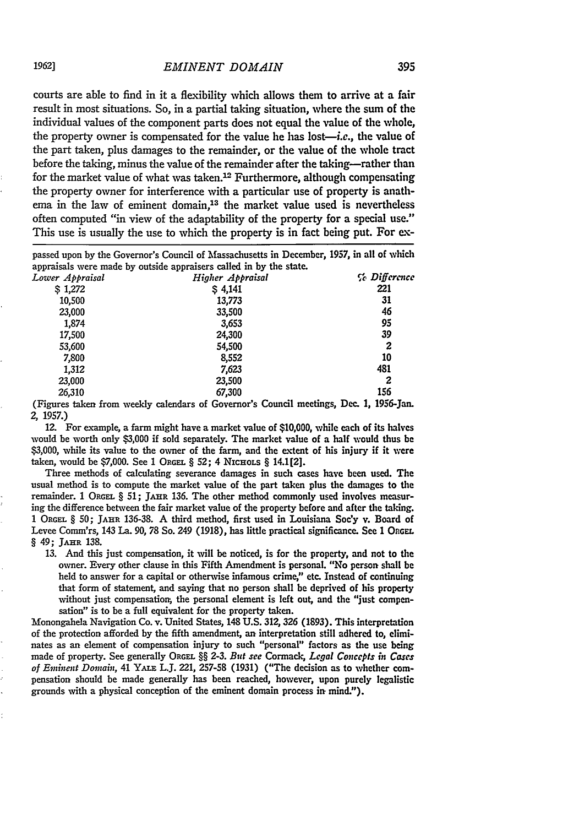courts are able to find in it a flexibility which allows them to arrive at a fair result in most situations. So, in a partial taking situation, where the sum of the individual values of the component parts does not equal the value of the whole, the property owner is compensated for the value he has lost-i.e., the value of the part taken, plus damages to the remainder, or the value of the whole tract before the taking, minus the value of the remainder after the taking-rather than for the market value of what was taken.<sup>12</sup> Furthermore, although compensating the property owner for interference with a particular use of property is anathema in the law of eminent domain,<sup>13</sup> the market value used is nevertheless often computed "in view of the adaptability of the property for a special use." This use is usually the use to which the property is in fact being put. For **ex-**

passed upon **by** the Governor's Council of Massachusetts in December, **1957,** in all of which appraisals were made **by** outside appraisers called in **by** the state.

| Lower Appraisal | Higher Appraisal | <i>Ce Difference</i> |
|-----------------|------------------|----------------------|
| \$1,272         | \$4,141          | 221                  |
| 10.500          | 13,773           | 31                   |
| 23,000          | 33,500           | 46                   |
| 1,874           | 3,653            | 95                   |
| 17,500          | 24,300           | 39                   |
| 53,600          | 54,500           | 2                    |
| 7,800           | 8,552            | 10                   |
| 1.312           | 7,623            | 481                  |
| 23,000          | 23,500           | 2                    |
| 26,310          | 67,300           | 156                  |

(Figures taken from weekly calendars of Governor's Council meetings, Dec. **1,** 1956-Jan. 2, 1957.)

12. For example, a farm might have a market value of \$10,000, while each of its halves would be worth only **\$3,000** if sold separately. The market value of a half would thus be **\$3,000,** while its value to the owner of the farm, and the extent of his injury if it were taken, would be **\$7,000.** See 1 ORGar. **§ 52;** 4 NicROLS **§** 14.1[2].

Three methods of calculating severance damages in such cases have been used. The usual method is to compute the market value of the part taken plus the damages to the remainder. 1 ORGEL § 51; JAHR 136. The other method commonly used involves measuring the difference between the fair market value of the property before and after the taking. **1 ORGEL § 50;** JAHR **136-38. A** third method, first used in Louisiana Soc'y v. Board of Levee Comm'rs, 143 La. **90, 78** So. 249 **(1918),** has little practical significance. See **1 OnGEL** 8 49; JAHR **138.**

**13.** And this just compensation, it will be noticed, is for the property, and not to the owner. Every other clause in this Fifth Amendment is personal. "No person shall be held to answer for a capital or otherwise infamous crime," etc. Instead of continuing that form of statement, and saying that no person shall be deprived of his property without just compensation, the personal element is left out, and the "just compensation" is to be a full equivalent for the property taken.

Monongahela Navigation Co. v. United States, 148 **U.S. 312, 326 (1893).** This interpretation of the protection afforded **by** the fifth amendment, an, interpretation still adhered to, eliminates as an element of compensation injury to such "personal" factors as the use being made of property. See generally **ORGEL §§ 2-3.** *But see* Cormack, *Legal Concepts in Cases of Eminent Domain,* 41 YALE **LJ.** 221, **257-58 (1931)** ("The decision as to whether compensation should be made generally has been reached, however, upon purely legalistic grounds with a physical conception of the eminent domain process in mind.").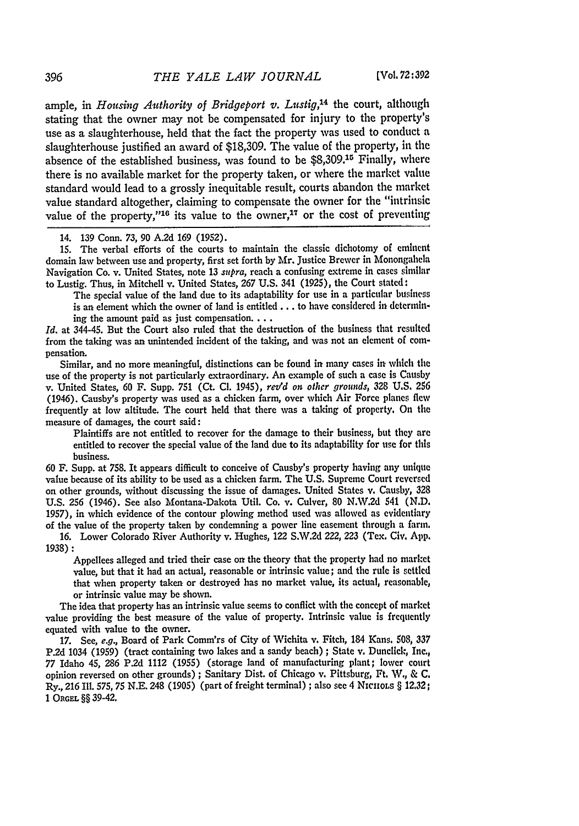ample, in *Housing Authority of Bridgeport v. Lustig,14* the court, although stating that the owner may not be compensated for injury to the property's use as a slaughterhouse, held that the fact the property was used to conduct a slaughterhouse justified an award of \$18,309. The value of the property, in the absence of the established business, was found to be \$8,309.<sup>15</sup> Finally, where there is no available market for the property taken, or where the market value standard would lead to a grossly inequitable result, courts abandon the market value standard altogether, claiming to compensate the owner for the "intrinsic value of the property,"<sup>16</sup> its value to the owner,<sup>17</sup> or the cost of preventing

15. The verbal efforts of the courts to maintain the classic dichotomy of eminent domain law between use and property, first set forth by Mr. Justice Brewer in Monongahela Navigation Co. v. United States, note 13 *supra,* reach a confusing extreme in cases similar to Lustig. Thus, in Mitchell v. United States, 267 U.S. 341 (1925), the Court stated:

The special value of the land due to its adaptability for use in a particular business is an element which the owner of land is entitled **...** to have considered in determining the amount paid as just compensation...

*Id.* at 344-45. But the Court also ruled that the destruction of the business that resulted from the taking was an unintended incident of the taking, and was not an element of compensation.

Similar, and no more meaningful, distinctions can be found in many cases in- which the use of the property is not particularly extraordinary. An example of such a case is Causby v. United States, 60 F. Supp. **751** (Ct. **Cl.** 1945), *ret'd on* other *grounds,* **328 U.S.** <sup>256</sup> (1946). Causby's property was used as a chicken farm, over which Air Force planes flew frequently at low altitude. The court held that there was a taking of property. On the measure of damages, the court said:

Plaintiffs are not entitled to recover for the damage to their business, but they are entitled to recover the special value of the land due to its adaptability for use for this business.

**60** F. Supp. at 758. It appears difficult to conceive of Causby's property having any unique value because of its ability to be used as a chicken farm. The **U.S.** Supreme Court reversed on other grounds, without discussing the issue of damages. United States **v.** Causby, 328 **U.S.** 256 (1946). See also Montana-Dakota Util. Co. v. Culver, 80 N.W.2d 541 **(N.D.** 1957), in which evidence of the contour plowing method used was allowed as evidentiary of the value of the property taken by condemning a power line easement through a farm.

**16.** Lower Colorado River Authority v. Hughes, 122 S.W.2d 222, 223 (Tex. Civ. App. 1938) **:**

Appellees alleged and tried their case on the theory that the property had no market value, but that it had an actual, reasonable or intrinsic value; and the rule is settled that when property taken. or destroyed has no market value, its actual, reasonable, or intrinsic value may be shown.

The idea that property has an intrinsic value seems to conflict with the concept of market value providing the best measure of the value of property. Intrinsic value is frequently equated with value to the owner.

17. See, e.g., Board of Park Comm'rs of City of Wichita v. Fitch, 184 Kans. 508, 337 P.2d 1034 (1959) (tract containing two lakes and a sandy beach) ; State v. Dunclick, Inc., 77 Idaho 45, **286** P2d 1112 (1955) (storage land of manufacturing plant; lower court opinion reversed on other grounds) ; Sanitary Dist. of Chicago v. Pittsburg, Ft. W., & **C.** Ry., **216** Ill. 575, 75 N.E. 248 (1905) (part of freight terminal) ; also see 4 *NICHOLS* § **12.32; 1 ORGEL** §§ 39-42.

<sup>14. 139</sup> Conn. *73,* **90** A.2d 169 (1952).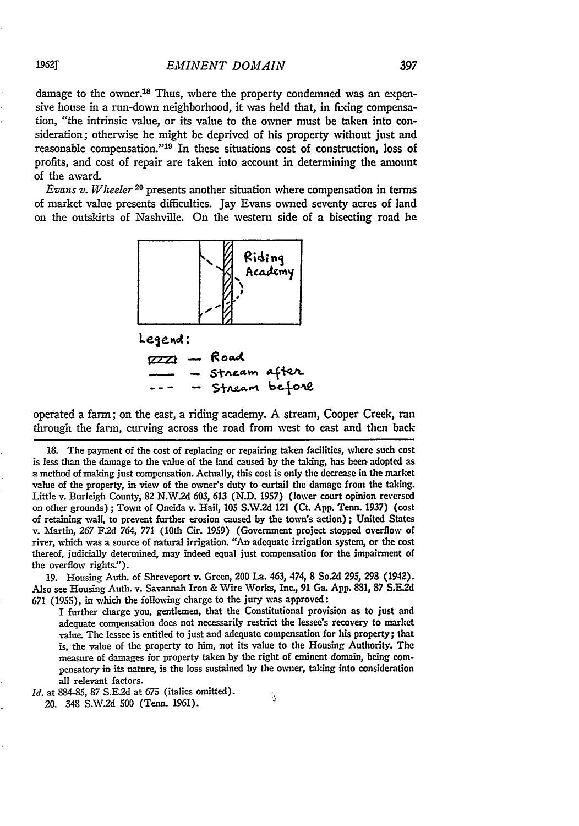damage to the owner.<sup>18</sup> Thus, where the property condemned was an expensive house in a run-down neighborhood, it was held that, in fixing compensation, "the intrinsic value, or its value to the owner must be taken into consideration; otherwise he might be deprived of his property without just and reasonable compensation."<sup>19</sup> In these situations cost of construction, loss of profits, and cost of repair are taken into account in determining the amount of the award.

*Evans v.* Wheeler **20** presents another situation where compensation in terms of market value presents difficulties. Jay Evans owned seventy acres of land on the outskirts of Nashville. On the western side of a bisecting road he



Legend:  $777 -$  Road - stream after<br>- Stream before

operated a farm; on the east, a riding academy. A stream, Cooper Creek, ran through the farm, curving across the road from west to east and then back

**19.** Housing Auth. of Shreveport v. Green, 200 Ia. 463, 474, 8 So.2d **295, 293** (1942). Also see Housing Auth. v. Savannah Iron & Wire Works, Inc., **91** Ga. App. **881,** 87 S.E.2d 671 (1955), in which the following charge to the jury was approved:

I further charge you, gentlemen, that the Constitutional provision as to just and adequate compensation does not necessarily restrict the lessee's recovery to market value. The lessee is entitled to just and adequate compensation for his property; that is, the value of the property to him, not its value to the Housing Authority. The measure of damages for property taken **by** the right of eminent domain, being **com**pensatory in its nature, is the loss sustained **by** the owner, taking into consideration all relevant factors.

š

*Id.* at **884-85,** 87 **S.E.2d** at **675** (italics omitted).

20. **348 S.W.2d 500** (Tenn. 1961).

**1962T**

<sup>18.</sup> The payment of the cost of replacing or repairing taken facilities, where such cost is less than the damage to the value of the land caused by the taking, has been adopted as a method of making just compensation. Actually, this cost is only the decrease in the market value of the property, in view of the owner's duty to curtail the damage from the taking. Little v. Burleigh County, 82 **N.V.2d** 603, 613 **(N.D. 1957)** (lower court opinion reversed on other grounds) ; Town of Oneida v. Hail, 105 S.W.2d 121 (Ct. App. Tenn. 1937) (cost of retaining wall, to prevent further erosion caused **by** the town's action) ; United States v. Martin, **267** F.2d 764, **771** (10th Cir. **1959)** (Government project stopped overflow of river, which was a source of natural irrigation. "An adequate irrigation system, or the cost thereof, judicially determined, may indeed equal just compensation for the impairment of the overflow rights.").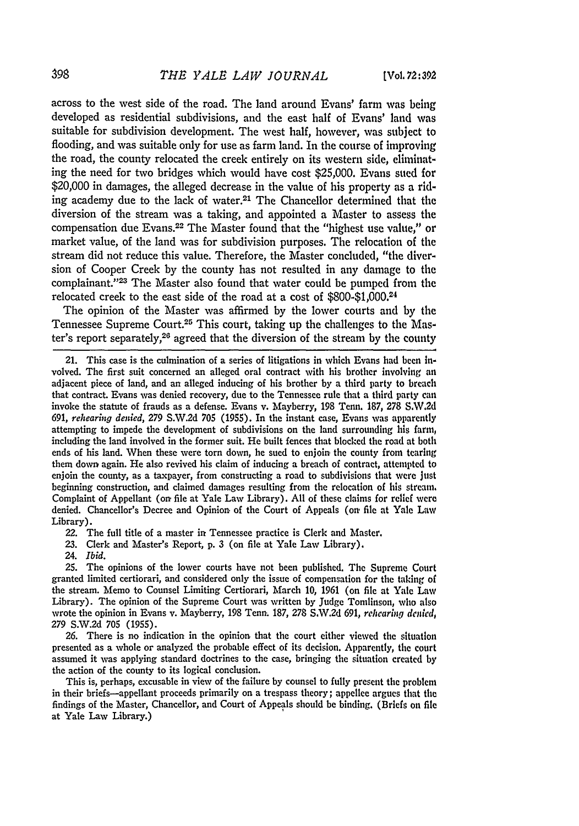across to the west side of the road. The land around Evans' farm was being developed as residential subdivisions, and the east half of Evans' land was suitable for subdivision development. The west half, however, was subject to flooding, and was suitable only for use as farm land. In the course of improving the road, the county relocated the creek entirely on its western side, eliminating the need for two bridges which would have cost **\$25,000.** Evans stied for \$20,000 in damages, the alleged decrease in the value of his property as a riding academy due to the lack of water.<sup>21</sup> The Chancellor determined that the diversion of the stream was a taking, and appointed a Master to assess the compensation due Evans.<sup>22</sup> The Master found that the "highest use value," or market value, of the land was for subdivision purposes. The relocation of the stream did not reduce this value. Therefore, the Master concluded, "the diversion of Cooper Creek **by** the county has not resulted in any damage to the complainant."<sup>23</sup> The Master also found that water could be pumped from the relocated creek to the east side of the road at a cost of **\$800-\$1,000.24**

The opinion of the Master was affirmed **by** the lower courts and **by** the Tennessee Supreme Court.25 This court, taking up the challenges to the Master's report separately, 26 agreed that the diversion of the stream **by** the county

21. This case is the culmination of a series of litigations in which Evans had been involved. The first suit concerned an alleged oral contract with his brother involving an adjacent piece of land, and an alleged inducing of **his** brother by a third party to breach that contract. Evans was denied recovery, due to the Tennessee rule that a third party can invoke the statute of frauds as a defense. Evans v. Mayberry, 198 Tenn. 187, 278 **S.W.2d 691,** *rehearing denied,* 279 **S.W.2d 705** (1955). In the instant case, Evans was apparently attempting to impede the development of subdivisions on the land surrounding **his** farm, including the land involved in the former suit. He built fences that blocked the road at both ends of his land. When these were torn down, he sued to enjoin the county from tearing them down again. He also revived his claim of inducing a breach of contract, attempted to enjoin the county, as a taxpayer, from constructing a road to subdivisions that were Just beginning construction, and claimed damages resulting from the relocation of his stream. Complaint of Appellant (on file at Yale Law Library). **All** of these claims for relief were denied. Chancellor's Decree and Opinion, of the Court of Appeals (on, **file** at Yale Law Library).

22. The full title of a master in Tennessee practice is Clerk and Master.

**23.** Clerk and Master's Report, **p. 3** (on file at Yale Law Library).

24. *Ibid.*

25. The opinions of the lower courts have not been published. The Supreme Court granted limited certiorari, and considered only the issue of compensation for the taking **of** the stream. Memo to Counsel Limiting Certiorari, March **10,** 1961 (on file at Yale Law Library). The opinion of the Supreme Court was written by Judge Tomlinson, who also wrote the opinion in Evans v. Mayberry, 198 Tenn. 187, 278 S.W.2d 691, *rehearing denied,* 279 S.W.2d 705 (1955).

26. There is no indication in the opinion that the court either viewed the situation presented as a whole or analyzed the probable effect of its decision. Apparently, the court assumed it was applying standard doctrines to the case, bringing the situation created by the action of the county to its logical conclusion.

This is, perhaps, excusable in view of the failure by counsel to fully present the problem in their briefs--appellant proceeds primarily on a trespass theory; appellee argues that the findings of the Master, Chancellor, and Court of Appeals should be binding. (Briefs on file at Yale Law Library.)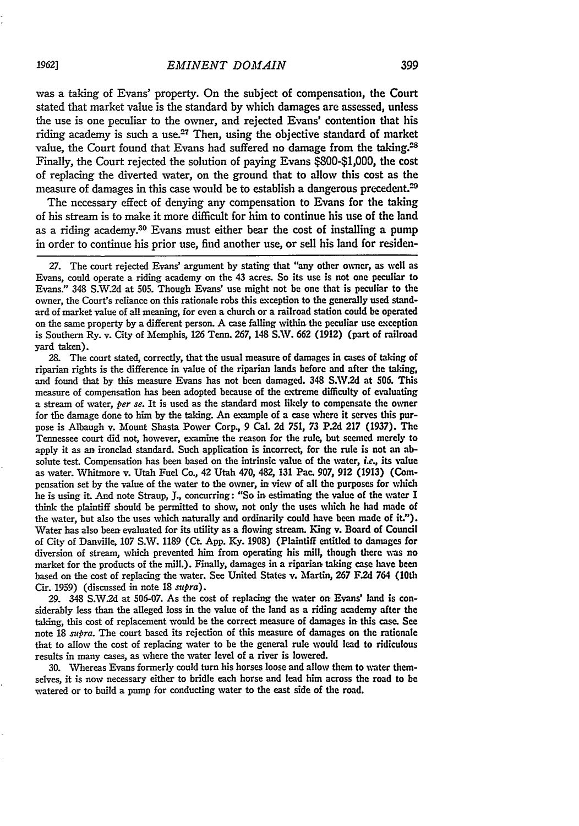was a taking of Evans' property. On the subject of compensation, the Court stated that market value is the standard by which damages are assessed, unless the use is one peculiar to the owner, and rejected Evans' contention that his riding academy is such a use. $27$  Then, using the objective standard of market value, the Court found that Evans had suffered no damage from the taking.<sup>28</sup> Finally, the Court rejected the solution of paying Evans \$800-\$1,000, the cost of replacing the diverted water, on the ground that to allow this cost as the measure of damages in this case would be to establish a dangerous precedent.<sup>29</sup>

The necessary effect of denying any compensation to Evans for the taking of his stream is to make it more difficult for him to continue his use of the land as a riding academy.<sup>30</sup> Evans must either bear the cost of installing a pump in order to continue his prior use, find another use, or sell his land for residen-

**28.** The court stated, correctly, that the usual measure of damages in cases of taking of riparian rights is the difference in value of the riparian lands before and after the taking, and found that by this measure Evans has not been damaged. 348 **S.W.2d** at **506.** This measure of compensation has been adopted because of the extreme difficulty of evaluating a stream of water, *per se.* It is used as the standard most likely to compensate the owner for the damage done to him by the taking. An example of a case where it serves this purpose is Albaugh v. Mount Shasta Power Corp., **9** Cal. **2d 751, 73 P.2d 217 (1937).** The Tennessee court did not, however, examine the reason for the rule, but seemed merely to apply it as an ironclad standard. Such application is incorrect, for the rule is not an absolute test. Compensation has been based on the intrinsic value of the water, *i.e.,* its value as water. Whitmore v. Utah Fuel Co., 42 Utah 470, 482, **131** Pac. 907, **912 (1913)** (Compensation set **by** the value of the water to the owner, in, view of all the purposes for which he is using it. And note Straup, **J.,** concurring: "So in estimating the value of the water I think the plaintiff should be permitted to show, not only the uses which he had made of the water, but also the uses which naturally and ordinarily could have **been** made of it."). Water has also been evaluated for its utility as a flowing stream. King v. Board of Council of City of Danville, **107** S.W. 1189 (Ct. **App. Ky. 1908)** (Plaintiff entitled to damages for diversion of stream, which prevented him from operating his mill, though there was no market for the products of the mill.). Finally, damages in a riparian taking case have been based on the cost **of** replacing the water. See United States v. Martin, **267** F.2d 764 (10th Cir. **1959)** (discussed in note 18 *supra).*

**29.** 348 **S.W.2d** at **506-07.** As the cost of replacing the water on Evans' land is considerably less than the alleged loss in the value of the land as a riding academy after the taking, this cost of replacement would be the correct measure of damages in this case. See note **18** *supra.* The court based its rejection of this measure of damages on the rationale that to allow the cost of replacing water to be the general rule would lead to ridiculous results in many cases, as where the water level of a river is lowered.

**30.** Whereas Evans formerly could turn his horses loose and allow them to water themselves, it is now necessary either to bridle each horse and lead him across the road to be watered or to build a pump for conducting water to the east side of the road.

<sup>27.</sup> The court rejected Evans' argument **by** stating that "any other owner, as well as Evans, could operate a riding academy on the 43 acres. So its use is not one peculiar to Evans." **348 S.W.2d** at **505.** Though Evans' use might not be one that is peculiar to the owner, the Court's reliance on this rationale robs this exception to the generally used standard of market value of all meaning, for even a church or a railroad station could **be** operated on the same property **by** a different person. A case falling within the peculiar use exception is Southern Ry. v. City of Memphis, **126** Tenn. **267,** 148 **S.W. 662 (1912)** (part of railroad yard taken).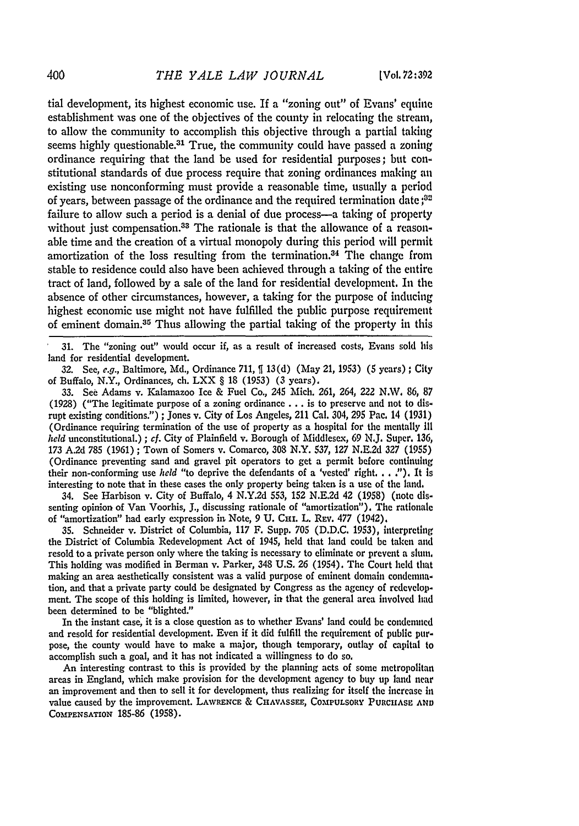tial development, its highest economic use. If a "zoning out" of Evans' equine establishment was one of the objectives of the county in relocating the stream, to allow the community to accomplish this objective through a partial taking seems highly questionable.<sup>31</sup> True, the community could have passed a zoning ordinance requiring that the land be used for residential purposes; but constitutional standards of due process require that zoning ordinances making **an** existing use nonconforming must provide a reasonable time, usually a period of years, between passage of the ordinance and the required termination date **;o"** failure to allow such a period is a denial of due process—a taking of property without just compensation.<sup>33</sup> The rationale is that the allowance of a reasonable time and the creation of a virtual monopoly during this period **will** permit amortization of the loss resulting from the termination.<sup>34</sup> The change from stable to residence could also have been achieved through a taking **of** the entire tract of land, followed **by** a sale of the land for residential development. In the absence of other circumstances, however, a taking for the purpose of inducing highest economic use might not have fulfilled the public purpose requirement of eminent domain.<sup>35</sup> Thus allowing the partial taking of the property in this

**31.** The "zoning out" would occur if, as a result of increased costs, Evans sold his land for residential development.

**32.** See, e.g., Baltimore, **Md.,** Ordinance **711, 13(d)** (May **21, 1953) (5** years); City of Buffalo, N.Y., Ordinances, ch. LXX § **18 (1953) (3** years),

**33.** See Adams v. Kalamazoo Ice **&** Fuel Co., 245 Mich. **261,** 264, 222 N.W. **86,** 87 (1928) ("The legitimate purpose of a zoning ordinance **...** is to preserve and not to disrupt existing conditions.") **;** Jones v. City of Los Angeles, 211 Cal. 304, **295** Pac. 14 **(1931)** (Ordinance requiring termination of the use of property as a hospital for the mentally **1II** *held* unconstitutional.) **;** *cf.* City of Plainfield v. Borough of Middlesex, 69 **N.J.** Super. 136, **173 A.2d 785 (1961);** Town of Somers v. Comarco, **308** N.Y. **537, 127 N.E.2d 327 (1955)** (Ordinance preventing sand and gravel pit operators to get a permit before continuing their non-conforming use *held* "to deprive the defendants of a 'vested' right **. . .").** It Is interesting to note that in these cases the only property being taken is a use of the land.

34. See Harbison v. City of Buffalo, 4 **N.Y.2d 553, 152 N.E.2d** 42 **(1958)** (note dissenting opinion of Van Voorhis, **J.,** discussing rationale of "amortization"). The rationale of "amortization" had early expression in Note, 9 **U. Ci.** L. **REv. 477** (1942).

**35.** Schneider v. District of Columbia, **117** F. Supp. **705 (D.D.C. 1953),** interpreting the District'of Columbia Redevelopment Act of 1945, **held** that land could **be** taken and resold to a private person only where the taking is necessary to eliminate or prevent a **slui.** This holding was modified in Berman v. Parker, 348 **U.S. 26** (1954). The Court held that making an area aesthetically consistent **was** a valid purpose of eminent domain condemination, and that a private party could be designated **by** Congress as the agency of redevelopment. The scope of this holding is limited, however, in that the general area involved **had** been determined to be "blighted."

In the instant case, it is a close question as to whether Evans' land could be condemned and resold for residential development. Even if it did fulfill the requirement of public purpose, the county would have to make a major, though temporary, outlay of capital to accomplish such a goal, and it has not indicated a willingness to do **so,**

An interesting contrast to this is provided by the planning acts of some metropolitan areas in England, which make provision for the development agency to buy up land near an improvement and then to sell it for development, thus realizing for itself the increase in value caused **by** the improvement. **LAWRENCE** & CHAvASsEE, COMPULSORY **PURCHASE AND** COMPENSATION **185-86** (1958).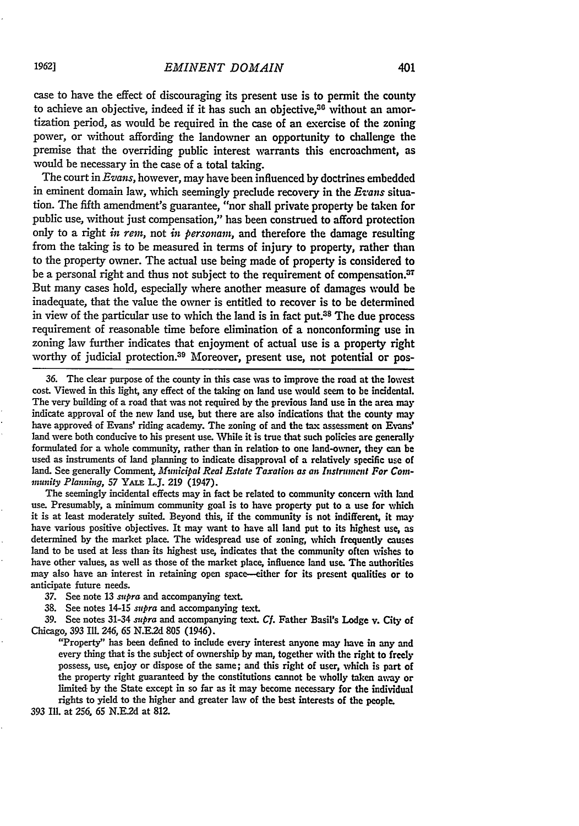case to have the effect of discouraging its present use is to permit the county to achieve an objective, indeed if it has such an objective.<sup>30</sup> without an amortization period, as would be required in the case of an exercise of the zoning power, or without affording the landowner an opportunity to challenge the premise that the overriding public interest warrants this encroachment, as would be necessary in the case of a total taking.

The court in *Evans,* however, may have been influenced **by** doctrines embedded in eminent domain law, which seemingly preclude recovery in the *Evans* situation. The fifth amendment's guarantee, "nor shall private property be taken for public use, without just compensation," has been construed to afford protection only to a right *in ren,* not *in personam,* and therefore the damage resulting from the taking is to be measured in terms of injury to property, rather than to the property owner. The actual use being made of property is considered to be a personal right and thus not subject to the requirement of compensation. $37$ But many cases hold, especially where another measure of damages would be inadequate, that the value the owner is entitled to recover is to be determined in view of the particular use to which the land is in fact put. $38$  The due process requirement of reasonable time before elimination of a nonconforming use in zoning law further indicates that enjoyment of actual use is a property right worthy of judicial protection.<sup>39</sup> Moreover, present use, not potential or pos-

36. The clear purpose of the county in this case was to improve the road at the lowest cost. Viewed in this light, any effect of the taking on land use would seem to be incidental. The very building of a road that was not required by the previous land use in the area may indicate approval of the new land use, but there are also indications that the county may have approved of Evans' riding academy. The zoning of and the tax assessment on Evans' land were both conducive to his present use. While it is true that such policies are generally formulated for a whole community, rather than in relation to one land-owner, they can be used as instruments of land planning to indicate disapproval of a relatively specific use of land. See generally Comment, *Municipal Real Estate Taxation as an Instrument For Community Planning, 57 YALE L.J. 219 (1947).*<br>The seemingly incidental effects may in fact be related to community concern with land

use. Presumably, a minimum community goal is to have property put to a use for which it is at least moderately suited. Beyond this, if the community is not indifferent, it may have various positive objectives. It may want to have all land put to its highest use, as determined by the market place. The widespread use of zoning, which frequently causes land to be used at less than its highest use, have other values, as well as those of the market place, influence land use. The authorities may also have an interest in retaining open space-either for its present qualities or to anticipate future needs.

*37.* See note **13** *supra* and accompanying text.

**38.** See notes 14-15 *supra* and accompanying text.

39. See notes 31-34 *supra* and accompanying text. *Cf.* Father Basil's Lodge v. City of Chicago, 393 Ill. 246, **65 N.E2d 805** (1946).

"Property" has been defined to include every interest anyone may have in any and every thing that is the subject of ownership by man, together with the right to freely possess, use, enjoy or dispose of the same; and this right of user, which is part of the property right guaranteed **by** the constitutions cannot be wholly taken away or limited by the State except in so far as it may become necessary for the individual rights to yield to the higher and greater law of the best interests of the people.

**393** Ill. at **256, 65 N.E2d** at **812.**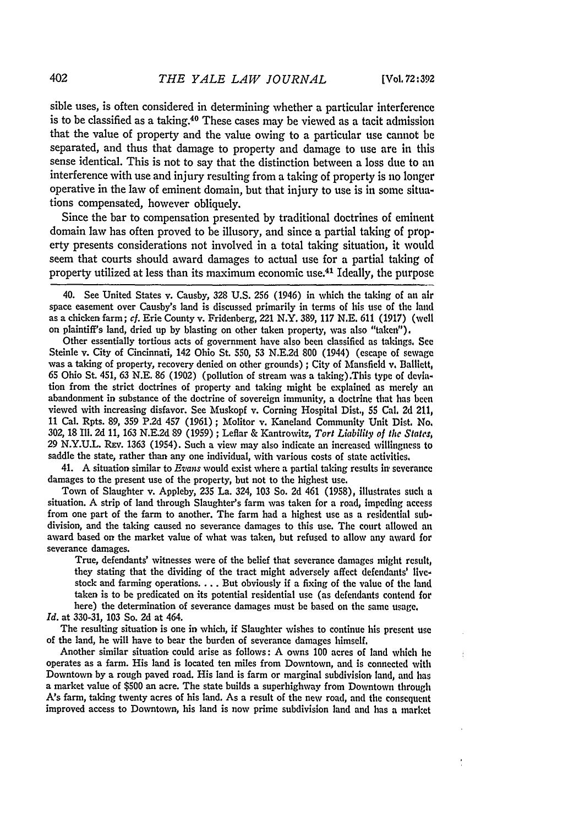sible uses, is often considered in determining whether a particular interference is to be classified as a taking.40 These cases may be viewed as a tacit admission that the value of property and the value owing to a particular use cannot be separated, and thus that damage to property and damage to use are in this sense identical. This is not to say that the distinction between a loss due to an interference with use and injury resulting from a taking of property is no longer operative in the law of eminent domain, but that injury to use is in some situations compensated, however obliquely.

Since the bar to compensation presented **by** traditional doctrines of eminent domain law has often proved to be illusory, and since a partial taking of property presents considerations not involved in a total taking situation, it would seem that courts should award damages to actual use for a partial taking of property utilized at less than its maximum economic use.41 Ideally, the purpose

40. See United States v. Causby, **328 U.S. 256** (1946) in which the taking of an air space easement over Causby's land is discussed primarily in terms of his use of the land as a chicken farm; *cf.* Erie County v. Fridenberg, 221 N.Y. 389, 117 **N.E.** 611 (1917) (well on plaintiff's land, dried up **by** blasting on other taken property, was also "taker").

Other essentially tortious acts of government have also been classified as takings, See Steinle v. City of Cincinnati, 142 Ohio St. *550,* **53** N.E.2d **800** (1944) (escape of sewage was a taking of property, recovery denied on other grounds) ; City of Mansfield v, Balliett, **65** Ohio **St.** 451, **63** N.E. **86** (1902) (pollution of stream was a taking).This type of deviation from the strict doctrines of property and taking might be explained as merely an abandonment in substance of the doctrine of sovereign immunity, a doctrine that has been viewed with increasing disfavor. See Muskopf v. Corning Hospital Dist., 55 Cal. 2d 211, 11 Cal. Rpts. **89,** 359 P.2d 457 (1961); Molitor v. Kaneland Community Unit Dist. No. 302, **18 Ill.** 2d 11, **163** N.E.2d 89 (1959); Leflar & Kantrowitz, *Tort Liability of the States,* 29 **N.Y.U.L.** REv. 1363 (1954). Such a view may also indicate an increased willingness to saddle the state, rather than any one individual, with various costs of state activities.

41. A situation similar to *Evans* would exist where a partial taking results in severance damages to the present use of the property, but not to the highest use.

Town of Slaughter v. Appleby, 235 La. 324, 103 So. 2d 461 (1958), illustrates such a situation. A strip of land through Slaughter's farm was taken for a road, impeding access from one part of the farm to another. The farm division, and the taking caused no severance damages to this use. The court allowed an award based on the market value of what was taken, but refused to allow any award for severance damages.

True, defendants' witnesses were of the belief that severance damages might result, they stating that the dividing of the tract might adversely affect defendants' livestock and farming operations.... But obviously if a fixing of the value of the land taken is to be predicated on its potential residential use (as defendants contend for here) the determination of severance damages must be based on the same usage.

*Id.* at 330-31, 103 So. 2d at 464.

The resulting situation is one in which, if Slaughter wishes to continue his present use of the land, he will have to bear the burden of severance damages himself.

Another similar situation could arise as follows: **A** owns 100 acres of land which he operates as a farm. His land is located ten miles from Downtown, and is connected with Downtown by a rough paved road. His land is farm or marginal subdivision land, and has a market value of \$500 an acre. The state builds a superhighway from Downtown through A's farm, taking twenty acres of his land. As a result of the new road, and the consequent improved access to Downtown, his land is now prime subdivision land and has a market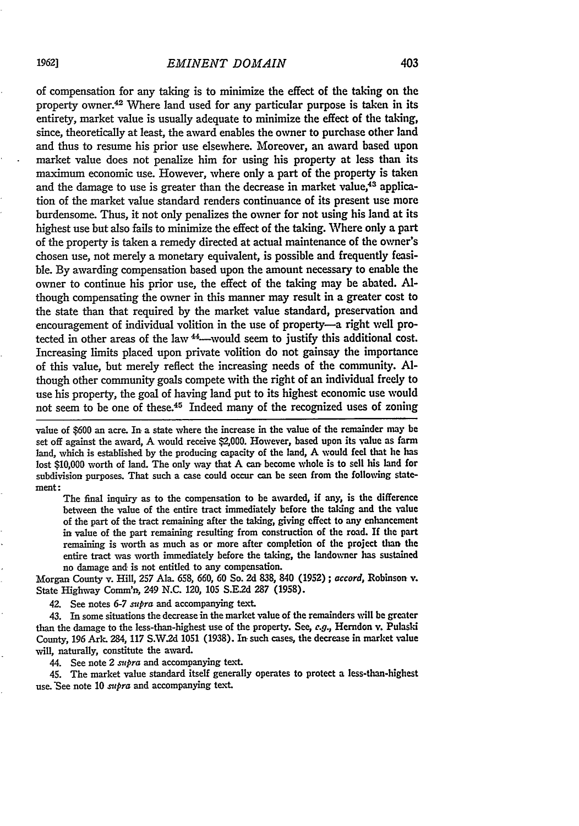## *EMINENT DOMAIN*

of compensation for any taking is to minimize the effect of the taking on the property owner.<sup>42</sup> Where land used for any particular purpose is taken in its entirety, market value is usually adequate to minimize the effect of the taking, since, theoretically at least, the award enables the owner to purchase other land and thus to resume his prior use elsewhere. Moreover, an award based upon market value does not penalize him for using his property at less than its maximum economic use. However, where only a part of the property is taken and the damage to use is greater than the decrease in market value,<sup>43</sup> application of the market value standard renders continuance of its present use more burdensome. Thus, it not only penalizes the owner for not using his land at its highest use but also fails to minimize the effect of the taking. Where only a part of the property is taken a remedy directed at actual maintenance of the owner's chosen use, not merely a monetary equivalent, is possible and frequently feasible. By awarding compensation based upon the amount necessary to enable the owner to continue his prior use, the effect of the taking may be abated. **Al**though compensating the owner in this manner may result in a greater cost to the state than that required by the market value standard, preservation and encouragement of individual volition in the use of property-a right well protected in other areas of the law <sup>44</sup>---would seem to justify this additional cost. Increasing limits placed upon private volition do not gainsay the importance of this value, but merely reflect the increasing needs of the community. **Al**though other community goals compete with the right of an individual freely to use his property, the goal of having land put to its highest economic use would not seem to be one of these.45 Indeed many of the recognized uses of zoning

value of **\$600** an acre. In a state where the increase in the value of the remainder may **be** set off against the award, **A** would receive \$2,000. However, based upon its value as farm land, which is established **by** the producing capacity of the land, A would **feel** that he has lost \$10,000 worth of land. The only way that A can become whole is to sell his land for subdivision purposes. That such a case could occur can be seen from the following statemeat:

The final inquiry as to the compensation to be awarded, if any, is the difference between the value of the entire tract immediately before the taking and the value of the part of the tract remaining after the taking, giving effect to any enhancement in value of the part remaining resulting from construction of the road. If the part remaining is worth as much as or more after completion of the project than the entire tract was worth immediately before the taking, the landowner has sustained no damage and is not entitled to any compensation.

Morgan County v. Hill, **257** Ala. **658, 660, 60** So. **2d 838,** 840 **(1952) ;** *accord,* Robinson v. State Highway Comm'n, 249 **N.C.** 120, **105 S.E2d 287 (1958).**

42. See notes **6-7** supra and accompanying text.

43. In some situations the decrease in the market value of the remainders will **be** greater than the damage to the less-than-highest use of the property. See, **e.g.,** Herndon v. Pulaski County, **196** Ark. **284, 117 S.W.2d 1051 (1938).** In. such cases, the decrease in market value will, naturally, constitute the award.

44. See note 2 *supra* and accompanying text.

45. The market value standard itself generally operates to protect a less-than-highest use. See note 10 *supra* and accompanying text.

*1962]*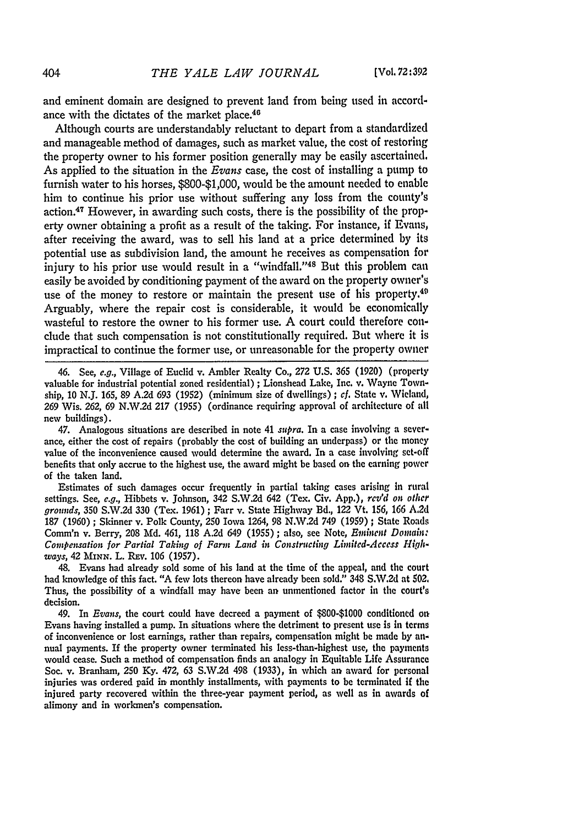and eminent domain are designed to prevent land from being used in accordance with the dictates of the market place.<sup>46</sup>

Although courts are understandably reluctant to depart from a standardized and manageable method of damages, such as market value, the cost of restoring the property owner to his former position generally may be easily ascertained. As applied to the situation in the *Evans* case, the cost of installing a pump to furnish water to his horses, \$800-\$1,000, would be the amount needed to enable him to continue his prior use without suffering any loss from the county's action. 47 However, in awarding such costs, there is the possibility of the property owner obtaining a profit as a result of the taking. For instance, if Evans, after receiving the award, was to sell his land at a price determined by its potential use as subdivision land, the amount he receives as compensation for injury to his prior use would result in a "windfall."<sup>48</sup> But this problem can easily be avoided by conditioning payment of the award on the property owner's use of the money to restore or maintain the present use of his property.<sup>49</sup> Arguably, where the repair cost is considerable, it would be economically wasteful to restore the owner to his former use. A court could therefore conclude that such compensation is not constitutionally required. But where it is impractical to continue the former use, or unreasonable for the property owner

46. See, *e.g.,* Village of Euclid v. Ambler Realty Co., 272 U.S. 365 (1920) (property valuable for industrial potential zoned residential) ; Lionshead Lake, Inc. v. Wayne Township, 10 N.J. *165,* 89 A.2d 693 (1952) (minimum size of dwellings); *cf.* State v. Wieland, **269** Wis. **262, 69** N.W.2d 217 (1955) (ordinance requiring approval of architecture of **all** new buildings).

47. Analogous situations are described in note 41 *supra.* In a case involving a severance, either the cost of repairs (probably the cost of building an underpass) or the money value of the inconvenience caused would determine the award. In a case involving set-off benefits that only accrue to the highest use, the award might be based on the earning power of the taken land.

Estimates of such damages occur frequently in partial taking cases arising in rural settings. See, *e.g.,* Hibbets v. Johnson, 342 S.W2d 642 (Tex. Civ. **App.),** *rcv'd on* othcr *grounds,* **350** S.W.2d **330** (Tex. 1961) ; Farr v. State Highway **B3d.,** 122 Vt. 156, 166 **A.2d** 187 (1960) ; Skinner v. Polk County, **250** Iowa 1264, 98 N.W.2d 749 (1959) **;** State Roads Comm'n v. Berry, **208 Md.** 461, 118 **A.2d** 649 (1955) ; also, see Note, *Entent Domain: Compensation for Partial Taking of Farm Land in Constructing Limited-Access Highways,* 42 **MINN.** L. **REv.** 106 (1957).

48. Evans had already sold some of his land at the time of the appeal, and the court had knowledge of this fact. "A few lots thereon have already been sold." 348 S.W.2d at 502, Thus, the possibility of a windfall may have been an unmentioned factor in the court's decision.

49. In *Evans,* the court could have decreed a payment of \$800-\$1000 conditioned **oil** Evans having installed a pump. In situations where the detriment to present use is in terms of inconvenience or lost earnings, rather than repairs, compensation might be made by annual payments. If the property owner terminated his less-than-highest use, the payments would cease. Such a method of compensation finds an analogy in Equitable Life Assurance Soc. v. Branham, 250 Ky. 472, 63 S.W.2d 498 (1933), in which an award for personal injuries was ordered paid in monthly installments, with payments to be terminated if the injured party recovered within the three-year payment period, as well as in awards of alimony and in workmen's compensation.